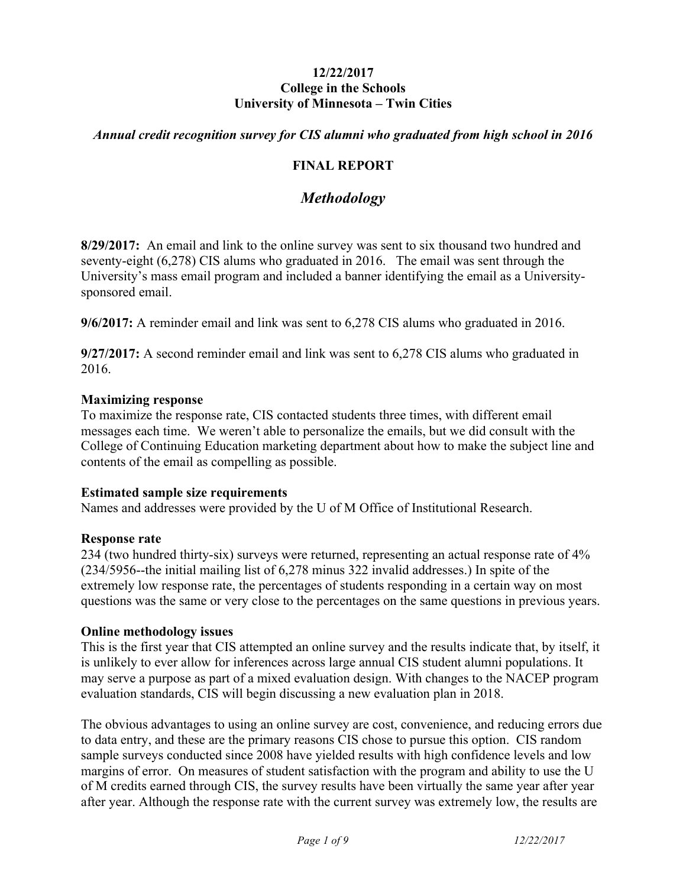#### **12/22/2017 College in the Schools University of Minnesota – Twin Cities**

## *Annual credit recognition survey for CIS alumni who graduated from high school in 2016*

## **FINAL REPORT**

## *Methodology*

**8/29/2017:** An email and link to the online survey was sent to six thousand two hundred and seventy-eight (6,278) CIS alums who graduated in 2016. The email was sent through the University's mass email program and included a banner identifying the email as a Universitysponsored email.

**9/6/2017:** A reminder email and link was sent to 6,278 CIS alums who graduated in 2016.

**9/27/2017:** A second reminder email and link was sent to 6,278 CIS alums who graduated in 2016.

#### **Maximizing response**

To maximize the response rate, CIS contacted students three times, with different email messages each time. We weren't able to personalize the emails, but we did consult with the College of Continuing Education marketing department about how to make the subject line and contents of the email as compelling as possible.

#### **Estimated sample size requirements**

Names and addresses were provided by the U of M Office of Institutional Research.

#### **Response rate**

234 (two hundred thirty-six) surveys were returned, representing an actual response rate of 4% (234/5956--the initial mailing list of 6,278 minus 322 invalid addresses.) In spite of the extremely low response rate, the percentages of students responding in a certain way on most questions was the same or very close to the percentages on the same questions in previous years.

#### **Online methodology issues**

This is the first year that CIS attempted an online survey and the results indicate that, by itself, it is unlikely to ever allow for inferences across large annual CIS student alumni populations. It may serve a purpose as part of a mixed evaluation design. With changes to the NACEP program evaluation standards, CIS will begin discussing a new evaluation plan in 2018.

The obvious advantages to using an online survey are cost, convenience, and reducing errors due to data entry, and these are the primary reasons CIS chose to pursue this option. CIS random sample surveys conducted since 2008 have yielded results with high confidence levels and low margins of error. On measures of student satisfaction with the program and ability to use the U of M credits earned through CIS, the survey results have been virtually the same year after year after year. Although the response rate with the current survey was extremely low, the results are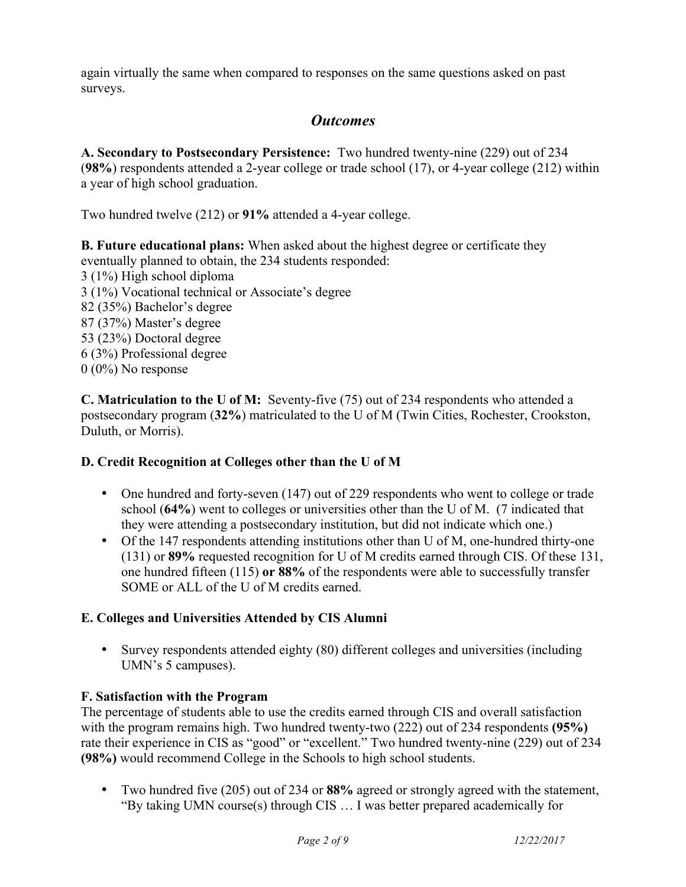again virtually the same when compared to responses on the same questions asked on past surveys.

# *Outcomes*

**A. Secondary to Postsecondary Persistence:** Two hundred twenty-nine (229) out of 234 (**98%**) respondents attended a 2-year college or trade school (17), or 4-year college (212) within a year of high school graduation.

Two hundred twelve (212) or **91%** attended a 4-year college.

**B. Future educational plans:** When asked about the highest degree or certificate they eventually planned to obtain, the 234 students responded: 3 (1%) High school diploma 3 (1%) Vocational technical or Associate's degree 82 (35%) Bachelor's degree 87 (37%) Master's degree 53 (23%) Doctoral degree 6 (3%) Professional degree  $0 (0\%)$  No response

**C. Matriculation to the U of M:** Seventy-five (75) out of 234 respondents who attended a postsecondary program (**32%**) matriculated to the U of M (Twin Cities, Rochester, Crookston, Duluth, or Morris).

## **D. Credit Recognition at Colleges other than the U of M**

- One hundred and forty-seven (147) out of 229 respondents who went to college or trade school (**64%**) went to colleges or universities other than the U of M. (7 indicated that they were attending a postsecondary institution, but did not indicate which one.)
- Of the 147 respondents attending institutions other than U of M, one-hundred thirty-one (131) or **89%** requested recognition for U of M credits earned through CIS. Of these 131, one hundred fifteen (115) **or 88%** of the respondents were able to successfully transfer SOME or ALL of the U of M credits earned.

## **E. Colleges and Universities Attended by CIS Alumni**

• Survey respondents attended eighty (80) different colleges and universities (including UMN's 5 campuses).

## **F. Satisfaction with the Program**

The percentage of students able to use the credits earned through CIS and overall satisfaction with the program remains high. Two hundred twenty-two (222) out of 234 respondents **(95%)** rate their experience in CIS as "good" or "excellent." Two hundred twenty-nine (229) out of 234 **(98%)** would recommend College in the Schools to high school students.

• Two hundred five (205) out of 234 or **88%** agreed or strongly agreed with the statement, "By taking UMN course(s) through CIS … I was better prepared academically for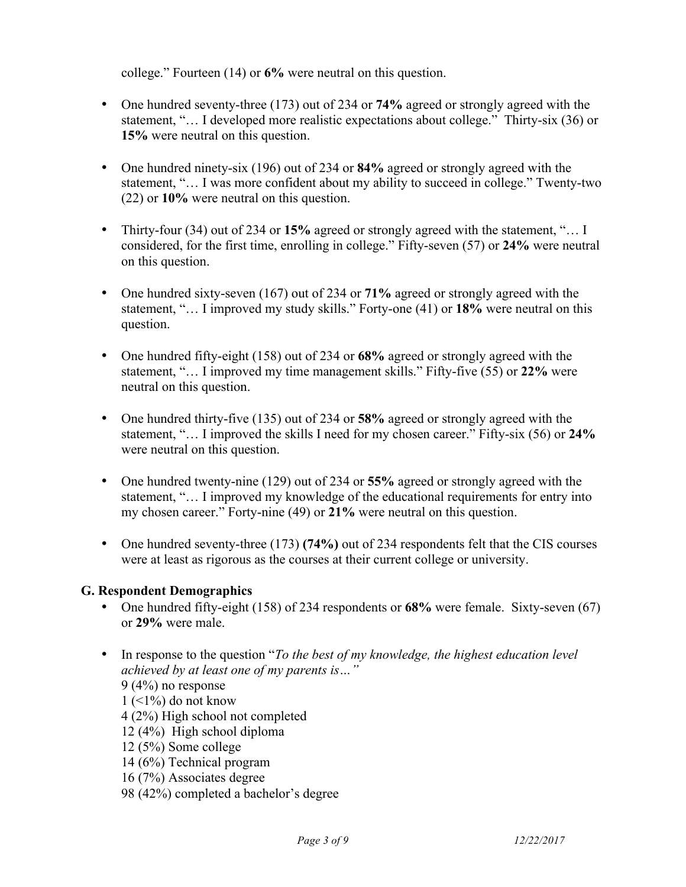college." Fourteen (14) or **6%** were neutral on this question.

- One hundred seventy-three (173) out of 234 or **74%** agreed or strongly agreed with the statement, "… I developed more realistic expectations about college." Thirty-six (36) or **15%** were neutral on this question.
- One hundred ninety-six (196) out of 234 or **84%** agreed or strongly agreed with the statement, "… I was more confident about my ability to succeed in college." Twenty-two (22) or **10%** were neutral on this question.
- Thirty-four (34) out of 234 or **15%** agreed or strongly agreed with the statement, "… I considered, for the first time, enrolling in college." Fifty-seven (57) or **24%** were neutral on this question.
- One hundred sixty-seven (167) out of 234 or **71%** agreed or strongly agreed with the statement, "… I improved my study skills." Forty-one (41) or **18%** were neutral on this question.
- One hundred fifty-eight (158) out of 234 or **68%** agreed or strongly agreed with the statement, "… I improved my time management skills." Fifty-five (55) or **22%** were neutral on this question.
- One hundred thirty-five (135) out of 234 or **58%** agreed or strongly agreed with the statement, "… I improved the skills I need for my chosen career." Fifty-six (56) or **24%** were neutral on this question.
- One hundred twenty-nine (129) out of 234 or **55%** agreed or strongly agreed with the statement, "… I improved my knowledge of the educational requirements for entry into my chosen career." Forty-nine (49) or **21%** were neutral on this question.
- One hundred seventy-three (173) **(74%)** out of 234 respondents felt that the CIS courses were at least as rigorous as the courses at their current college or university.

## **G. Respondent Demographics**

- One hundred fifty-eight (158) of 234 respondents or **68%** were female. Sixty-seven (67) or **29%** were male.
- In response to the question "*To the best of my knowledge, the highest education level achieved by at least one of my parents is…"* 9 (4%) no response  $1$  (<1%) do not know 4 (2%) High school not completed 12 (4%) High school diploma 12 (5%) Some college 14 (6%) Technical program 16 (7%) Associates degree 98 (42%) completed a bachelor's degree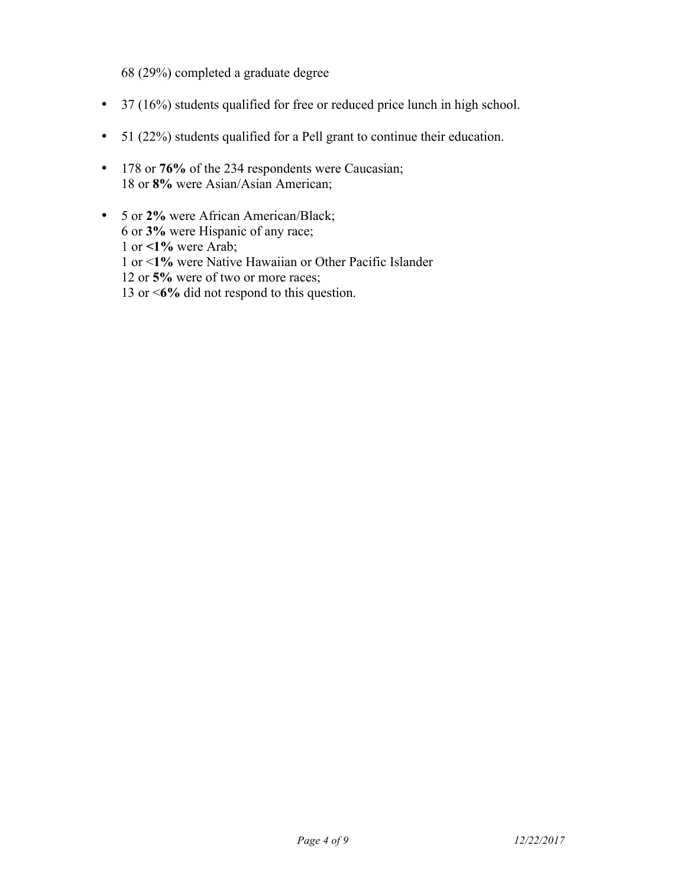68 (29%) completed a graduate degree

- 37 (16%) students qualified for free or reduced price lunch in high school.
- 51 (22%) students qualified for a Pell grant to continue their education.
- 178 or **76%** of the 234 respondents were Caucasian; 18 or **8%** were Asian/Asian American;
- 5 or **2%** were African American/Black; 6 or **3%** were Hispanic of any race; 1 or **<1%** were Arab; 1 or <**1%** were Native Hawaiian or Other Pacific Islander 12 or **5%** were of two or more races; 13 or <**6%** did not respond to this question.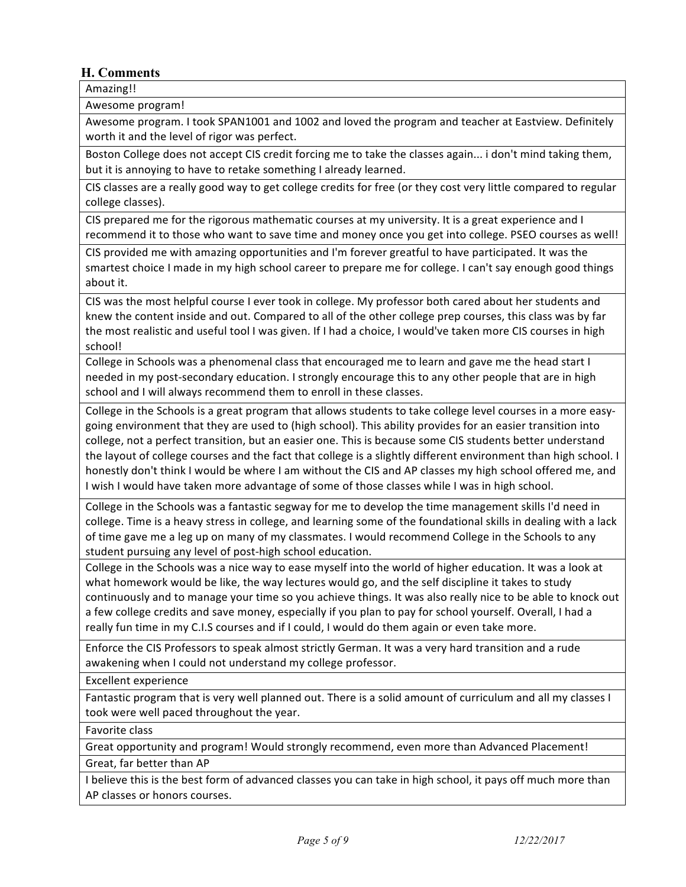## **H. Comments**

Amazing!! 

Awesome program!

Awesome program. I took SPAN1001 and 1002 and loved the program and teacher at Eastview. Definitely worth it and the level of rigor was perfect.

Boston College does not accept CIS credit forcing me to take the classes again... i don't mind taking them, but it is annoying to have to retake something I already learned.

CIS classes are a really good way to get college credits for free (or they cost very little compared to regular college classes).

CIS prepared me for the rigorous mathematic courses at my university. It is a great experience and I recommend it to those who want to save time and money once you get into college. PSEO courses as well!

CIS provided me with amazing opportunities and I'm forever greatful to have participated. It was the smartest choice I made in my high school career to prepare me for college. I can't say enough good things about it.

CIS was the most helpful course I ever took in college. My professor both cared about her students and knew the content inside and out. Compared to all of the other college prep courses, this class was by far the most realistic and useful tool I was given. If I had a choice, I would've taken more CIS courses in high school!

College in Schools was a phenomenal class that encouraged me to learn and gave me the head start I needed in my post-secondary education. I strongly encourage this to any other people that are in high school and I will always recommend them to enroll in these classes.

College in the Schools is a great program that allows students to take college level courses in a more easygoing environment that they are used to (high school). This ability provides for an easier transition into college, not a perfect transition, but an easier one. This is because some CIS students better understand the layout of college courses and the fact that college is a slightly different environment than high school. I honestly don't think I would be where I am without the CIS and AP classes my high school offered me, and I wish I would have taken more advantage of some of those classes while I was in high school.

College in the Schools was a fantastic segway for me to develop the time management skills I'd need in college. Time is a heavy stress in college, and learning some of the foundational skills in dealing with a lack of time gave me a leg up on many of my classmates. I would recommend College in the Schools to any student pursuing any level of post-high school education.

College in the Schools was a nice way to ease myself into the world of higher education. It was a look at what homework would be like, the way lectures would go, and the self discipline it takes to study continuously and to manage your time so you achieve things. It was also really nice to be able to knock out a few college credits and save money, especially if you plan to pay for school yourself. Overall, I had a really fun time in my C.I.S courses and if I could, I would do them again or even take more.

Enforce the CIS Professors to speak almost strictly German. It was a very hard transition and a rude awakening when I could not understand my college professor.

Excellent experience

Fantastic program that is very well planned out. There is a solid amount of curriculum and all my classes I took were well paced throughout the year.

Favorite class

Great opportunity and program! Would strongly recommend, even more than Advanced Placement! Great, far better than AP

I believe this is the best form of advanced classes you can take in high school, it pays off much more than AP classes or honors courses.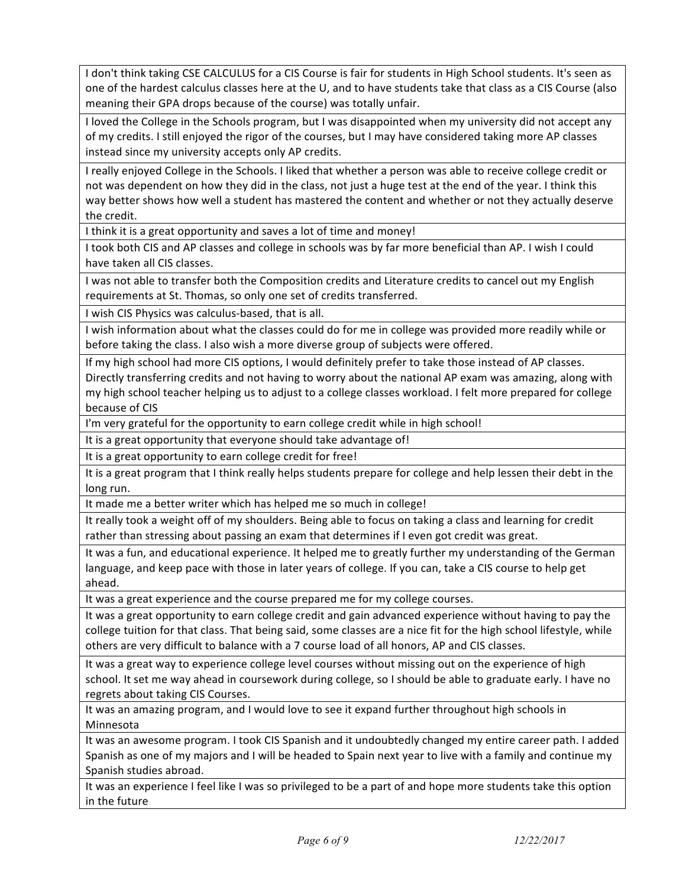I don't think taking CSE CALCULUS for a CIS Course is fair for students in High School students. It's seen as one of the hardest calculus classes here at the U, and to have students take that class as a CIS Course (also meaning their GPA drops because of the course) was totally unfair.

I loved the College in the Schools program, but I was disappointed when my university did not accept any of my credits. I still enjoyed the rigor of the courses, but I may have considered taking more AP classes instead since my university accepts only AP credits.

I really enjoyed College in the Schools. I liked that whether a person was able to receive college credit or not was dependent on how they did in the class, not just a huge test at the end of the year. I think this way better shows how well a student has mastered the content and whether or not they actually deserve the credit.

I think it is a great opportunity and saves a lot of time and money!

I took both CIS and AP classes and college in schools was by far more beneficial than AP. I wish I could have taken all CIS classes.

I was not able to transfer both the Composition credits and Literature credits to cancel out my English requirements at St. Thomas, so only one set of credits transferred.

I wish CIS Physics was calculus-based, that is all.

I wish information about what the classes could do for me in college was provided more readily while or before taking the class. I also wish a more diverse group of subjects were offered.

If my high school had more CIS options, I would definitely prefer to take those instead of AP classes. Directly transferring credits and not having to worry about the national AP exam was amazing, along with my high school teacher helping us to adjust to a college classes workload. I felt more prepared for college because of CIS

I'm very grateful for the opportunity to earn college credit while in high school!

It is a great opportunity that everyone should take advantage of!

It is a great opportunity to earn college credit for free!

It is a great program that I think really helps students prepare for college and help lessen their debt in the long run.

It made me a better writer which has helped me so much in college!

It really took a weight off of my shoulders. Being able to focus on taking a class and learning for credit rather than stressing about passing an exam that determines if I even got credit was great.

It was a fun, and educational experience. It helped me to greatly further my understanding of the German language, and keep pace with those in later years of college. If you can, take a CIS course to help get ahead.

It was a great experience and the course prepared me for my college courses.

It was a great opportunity to earn college credit and gain advanced experience without having to pay the college tuition for that class. That being said, some classes are a nice fit for the high school lifestyle, while others are very difficult to balance with a 7 course load of all honors, AP and CIS classes.

It was a great way to experience college level courses without missing out on the experience of high school. It set me way ahead in coursework during college, so I should be able to graduate early. I have no regrets about taking CIS Courses.

It was an amazing program, and I would love to see it expand further throughout high schools in Minnesota 

It was an awesome program. I took CIS Spanish and it undoubtedly changed my entire career path. I added Spanish as one of my majors and I will be headed to Spain next year to live with a family and continue my Spanish studies abroad.

It was an experience I feel like I was so privileged to be a part of and hope more students take this option in the future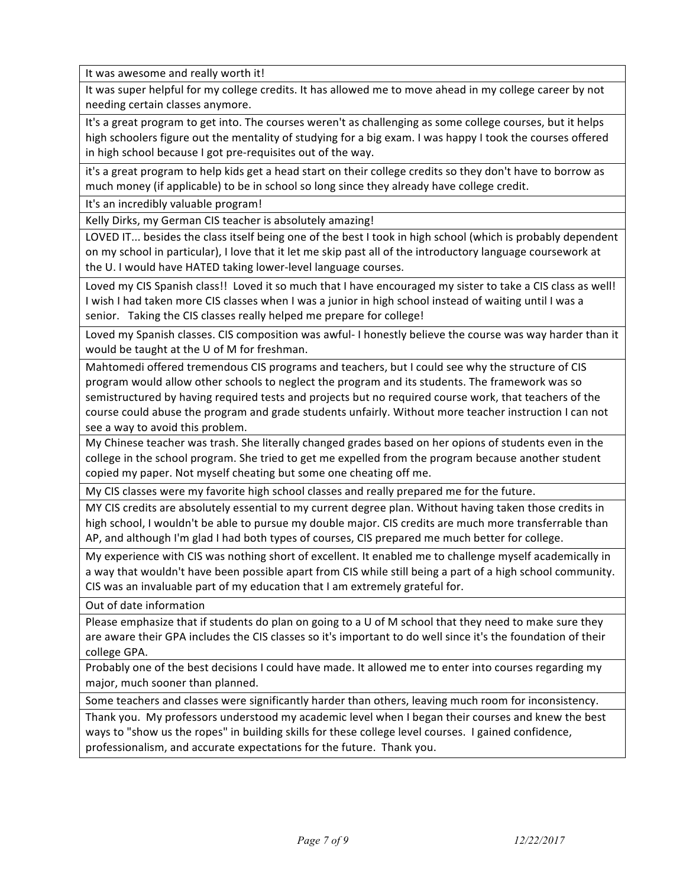It was awesome and really worth it!

It was super helpful for my college credits. It has allowed me to move ahead in my college career by not needing certain classes anymore.

It's a great program to get into. The courses weren't as challenging as some college courses, but it helps high schoolers figure out the mentality of studying for a big exam. I was happy I took the courses offered in high school because I got pre-requisites out of the way.

it's a great program to help kids get a head start on their college credits so they don't have to borrow as much money (if applicable) to be in school so long since they already have college credit.

It's an incredibly valuable program!

Kelly Dirks, my German CIS teacher is absolutely amazing!

LOVED IT... besides the class itself being one of the best I took in high school (which is probably dependent on my school in particular), I love that it let me skip past all of the introductory language coursework at the U. I would have HATED taking lower-level language courses.

Loved my CIS Spanish class!! Loved it so much that I have encouraged my sister to take a CIS class as well! I wish I had taken more CIS classes when I was a junior in high school instead of waiting until I was a senior. Taking the CIS classes really helped me prepare for college!

Loved my Spanish classes. CIS composition was awful- I honestly believe the course was way harder than it would be taught at the U of M for freshman.

Mahtomedi offered tremendous CIS programs and teachers, but I could see why the structure of CIS program would allow other schools to neglect the program and its students. The framework was so semistructured by having required tests and projects but no required course work, that teachers of the course could abuse the program and grade students unfairly. Without more teacher instruction I can not see a way to avoid this problem.

My Chinese teacher was trash. She literally changed grades based on her opions of students even in the college in the school program. She tried to get me expelled from the program because another student copied my paper. Not myself cheating but some one cheating off me.

My CIS classes were my favorite high school classes and really prepared me for the future.

MY CIS credits are absolutely essential to my current degree plan. Without having taken those credits in high school, I wouldn't be able to pursue my double major. CIS credits are much more transferrable than AP, and although I'm glad I had both types of courses, CIS prepared me much better for college.

My experience with CIS was nothing short of excellent. It enabled me to challenge myself academically in a way that wouldn't have been possible apart from CIS while still being a part of a high school community. CIS was an invaluable part of my education that I am extremely grateful for.

Out of date information

Please emphasize that if students do plan on going to a U of M school that they need to make sure they are aware their GPA includes the CIS classes so it's important to do well since it's the foundation of their college GPA.

Probably one of the best decisions I could have made. It allowed me to enter into courses regarding my major, much sooner than planned.

Some teachers and classes were significantly harder than others, leaving much room for inconsistency.

Thank you. My professors understood my academic level when I began their courses and knew the best ways to "show us the ropes" in building skills for these college level courses. I gained confidence, professionalism, and accurate expectations for the future. Thank you.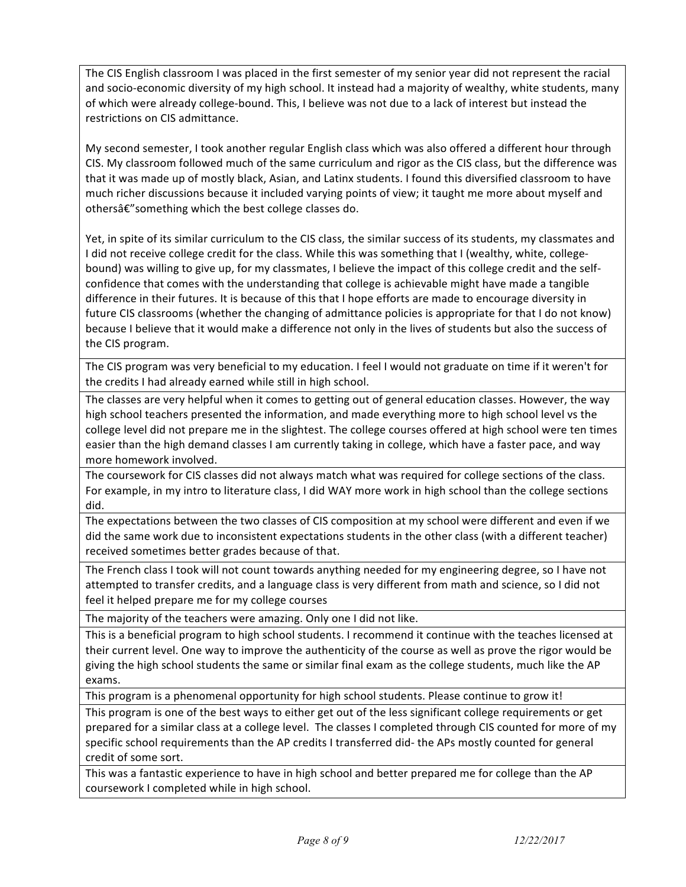The CIS English classroom I was placed in the first semester of my senior year did not represent the racial and socio-economic diversity of my high school. It instead had a majority of wealthy, white students, many of which were already college-bound. This, I believe was not due to a lack of interest but instead the restrictions on CIS admittance.

My second semester, I took another regular English class which was also offered a different hour through CIS. My classroom followed much of the same curriculum and rigor as the CIS class, but the difference was that it was made up of mostly black, Asian, and Latinx students. I found this diversified classroom to have much richer discussions because it included varying points of view; it taught me more about myself and othersâ€" something which the best college classes do.

Yet, in spite of its similar curriculum to the CIS class, the similar success of its students, my classmates and I did not receive college credit for the class. While this was something that I (wealthy, white, collegebound) was willing to give up, for my classmates, I believe the impact of this college credit and the selfconfidence that comes with the understanding that college is achievable might have made a tangible difference in their futures. It is because of this that I hope efforts are made to encourage diversity in future CIS classrooms (whether the changing of admittance policies is appropriate for that I do not know) because I believe that it would make a difference not only in the lives of students but also the success of the CIS program.

The CIS program was very beneficial to my education. I feel I would not graduate on time if it weren't for the credits I had already earned while still in high school.

The classes are very helpful when it comes to getting out of general education classes. However, the way high school teachers presented the information, and made everything more to high school level vs the college level did not prepare me in the slightest. The college courses offered at high school were ten times easier than the high demand classes I am currently taking in college, which have a faster pace, and way more homework involved.

The coursework for CIS classes did not always match what was required for college sections of the class. For example, in my intro to literature class, I did WAY more work in high school than the college sections did.

The expectations between the two classes of CIS composition at my school were different and even if we did the same work due to inconsistent expectations students in the other class (with a different teacher) received sometimes better grades because of that.

The French class I took will not count towards anything needed for my engineering degree, so I have not attempted to transfer credits, and a language class is very different from math and science, so I did not feel it helped prepare me for my college courses

The majority of the teachers were amazing. Only one I did not like.

This is a beneficial program to high school students. I recommend it continue with the teaches licensed at their current level. One way to improve the authenticity of the course as well as prove the rigor would be giving the high school students the same or similar final exam as the college students, much like the AP exams. 

This program is a phenomenal opportunity for high school students. Please continue to grow it!

This program is one of the best ways to either get out of the less significant college requirements or get prepared for a similar class at a college level. The classes I completed through CIS counted for more of my specific school requirements than the AP credits I transferred did- the APs mostly counted for general credit of some sort.

This was a fantastic experience to have in high school and better prepared me for college than the AP coursework I completed while in high school.